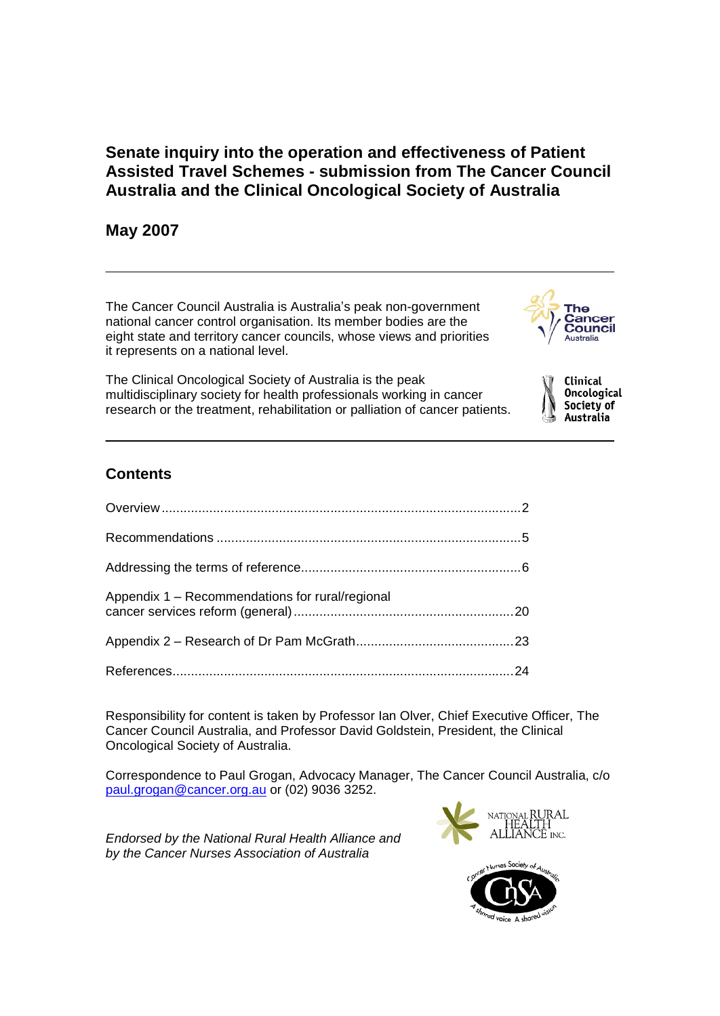# **Senate inquiry into the operation and effectiveness of Patient Assisted Travel Schemes - submission from The Cancer Council Australia and the Clinical Oncological Society of Australia**

# **May 2007**

The Cancer Council Australia is Australiaí<sup>s</sup> peak non-government national cancer control organisation. Its member bodies are the eight state and territory cancer councils, whose views and priorities it represents on a national level.

The Clinical Oncological Society of Australia is the peak multidisciplinary society for health professionals working in cancer research or the treatment, rehabilitation or palliation of cancer patients.

# The Cancer Council Australia

Clinical **Oncological** Society of Australia

# **Contents**

| Appendix 1 - Recommendations for rural/regional |  |
|-------------------------------------------------|--|
|                                                 |  |
|                                                 |  |

Responsibility for content is taken by Professor Ian Olver, Chief Executive Officer, The Cancer Council Australia, and Professor David Goldstein, President, the Clinical Oncological Society of Australia.

Correspondence to Paul Grogan, Advocacy Manager, The Cancer Council Australia, c/o [paul.grogan@cancer.org.au](mailto:paul.grogan@cancer.org.au) or (02) 9036 3252.

Endorsed by the National Rural Health Alliance and by the Cancer Nurses Association of Australia



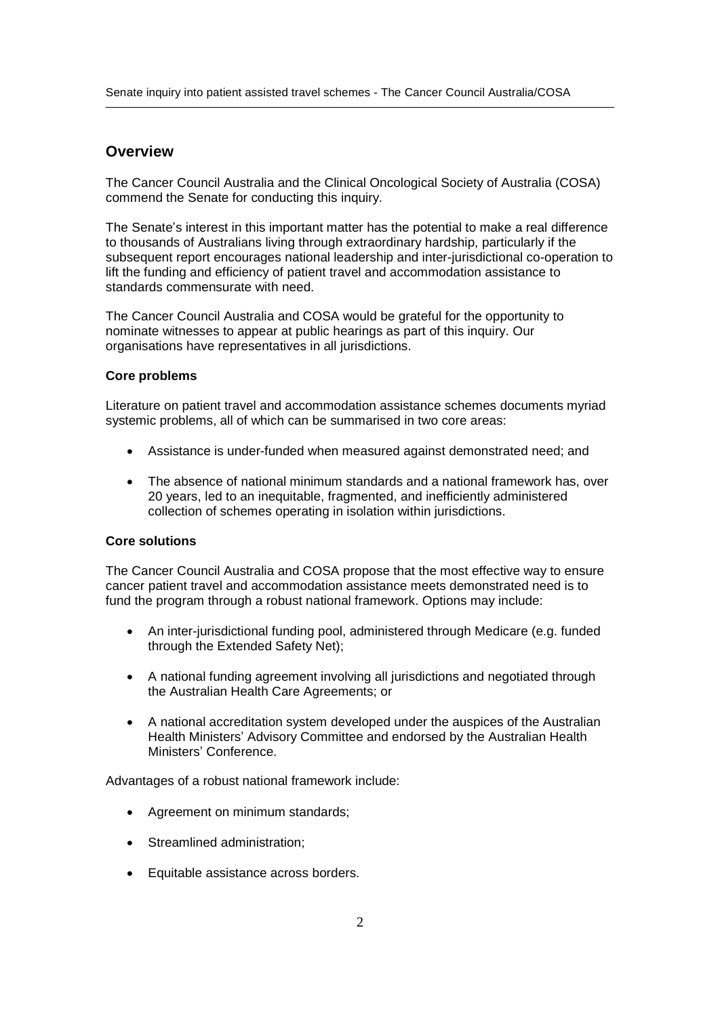# **Overview**

The Cancer Council Australia and the Clinical Oncological Society of Australia (COSA) commend the Senate for conducting this inquiry.

The Senate's interest in this important matter has the potential to make a real difference to thousands of Australians living through extraordinary hardship, particularly if the subsequent report encourages national leadership and inter-jurisdictional co-operation to lift the funding and efficiency of patient travel and accommodation assistance to standards commensurate with need.

The Cancer Council Australia and COSA would be grateful for the opportunity to nominate witnesses to appear at public hearings as part of this inquiry. Our organisations have representatives in all jurisdictions.

### **Core problems**

Literature on patient travel and accommodation assistance schemes documents myriad systemic problems, all of which can be summarised in two core areas:

- Assistance is under-funded when measured against demonstrated need; and
- The absence of national minimum standards and a national framework has, over 20 years, led to an inequitable, fragmented, and inefficiently administered collection of schemes operating in isolation within jurisdictions.

## **Core solutions**

The Cancer Council Australia and COSA propose that the most effective way to ensure cancer patient travel and accommodation assistance meets demonstrated need is to fund the program through a robust national framework. Options may include:

- An inter-jurisdictional funding pool, administered through Medicare (e.g. funded through the Extended Safety Net);
- A national funding agreement involving all jurisdictions and negotiated through the Australian Health Care Agreements; or
- A national accreditation system developed under the auspices of the Australian لاً<br>A national accreditation system developed under the auspices of the Australian Health<br>Health Ministers' Advisory Committee and endorsed by the Australian Health A national accreditation sys<br>Health Ministers' Advisory (<br>Ministers' Conference.

Advantages of a robust national framework include:

- Agreement on minimum standards;
- Streamlined administration;
- Equitable assistance across borders.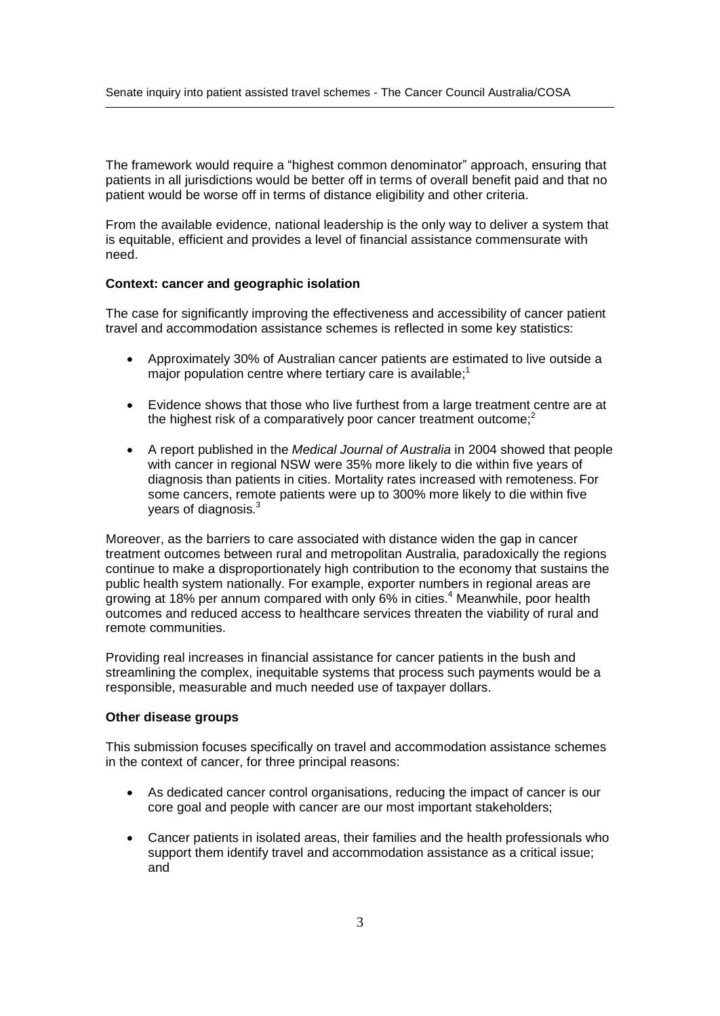The framework would require a "highest common denominator" approach, ensuring that patients in all jurisdictions would be better off in terms of overall benefit paid and that no patient would be worse off in terms of distance eligibility and other criteria.

From the available evidence, national leadership is the only way to deliver a system that is equitable, efficient and provides a level of financial assistance commensurate with need.

### **Context: cancer and geographic isolation**

The case for significantly improving the effectiveness and accessibility of cancer patient travel and accommodation assistance schemes is reflected in some key statistics:

- Approximately 30% of Australian cancer patients are estimated to live outside a major population centre where tertiary care is available;<sup>1</sup>
- Evidence shows that those who live furthest from a large treatment centre are at the highest risk of a comparatively poor cancer treatment outcome; $<sup>2</sup>$ </sup>
- A report published in the Medical Journal of Australia in 2004 showed that people with cancer in regional NSW were 35% more likely to die within five years of diagnosis than patients in cities. Mortality rates increased with remoteness. For some cancers, remote patients were up to 300% more likely to die within five years of diagnosis.<sup>3</sup>

Moreover, as the barriers to care associated with distance widen the gap in cancer treatment outcomes between rural and metropolitan Australia, paradoxically the regions continue to make a disproportionately high contribution to the economy that sustains the public health system nationally. For example, exporter numbers in regional areas are growing at 18% per annum compared with only 6% in cities.<sup>4</sup> Meanwhile, poor health outcomes and reduced access to healthcare services threaten the viability of rural and remote communities.

Providing real increases in financial assistance for cancer patients in the bush and streamlining the complex, inequitable systems that process such payments would be a responsible, measurable and much needed use of taxpayer dollars.

### **Other disease groups**

This submission focuses specifically on travel and accommodation assistance schemes in the context of cancer, for three principal reasons:

- As dedicated cancer control organisations, reducing the impact of cancer is our core goal and people with cancer are our most important stakeholders;
- Cancer patients in isolated areas, their families and the health professionals who support them identify travel and accommodation assistance as a critical issue; and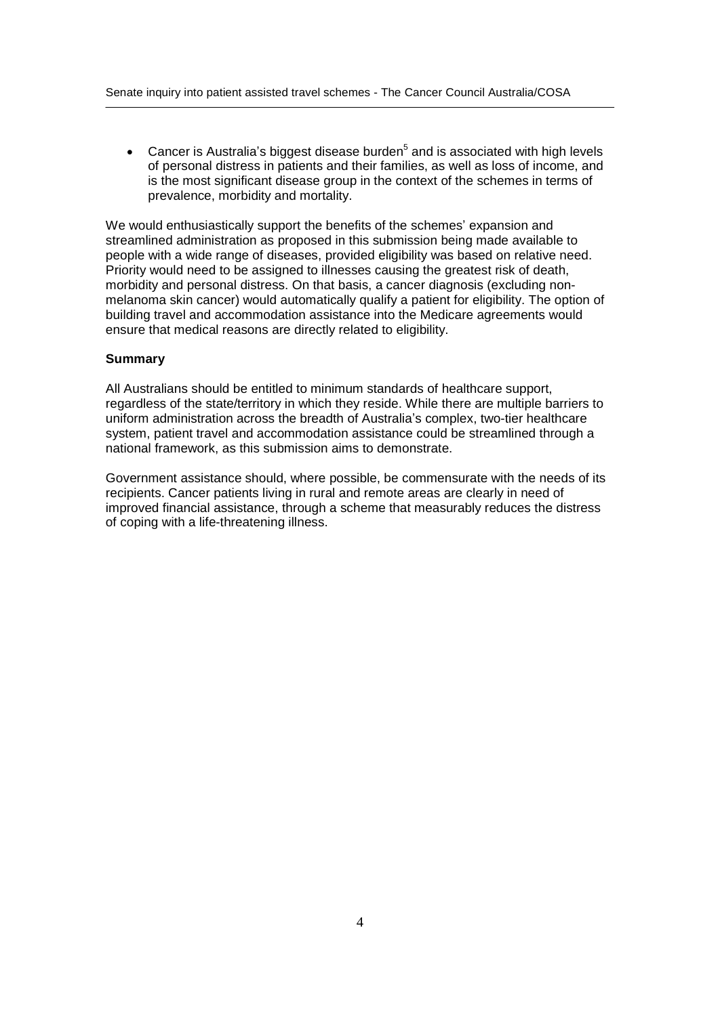Cancer is Australia's biggest disease burden<sup>5</sup> and is associated with high levels<br>——————————————————— of personal distress in patients and their families, as wellas loss of income, and is the most significant disease group in the context of the schemes in terms of prevalence, morbidity and mortality.

We would enthusiastically support the benefits of the schemes' expansion and streamlined administration as proposed in this submission being made available to people with a wide range of diseases, provided eligibility was based on relative need. Priority would need to be assigned to illnesses causing the greatest risk of death, morbidity and personal distress. On that basis, a cancer diagnosis (excluding non melanoma skin cancer) would automatically qualify a patient for eligibility. The option of building travel and accommodation assistance into the Medicare agreements would ensure that medical reasons are directly related to eligibility.

## **Summary**

All Australians should be entitled to minimum standards of healthcare support, regardless of the state/territory in which they reside. While there are multiple barriers to uniform administration across the breadth of Australia's complex, two-tier healthcare system, patient travel and accommodation assistance could be streamlined through a national framework, as this submission aims to demonstrate.

Government assistance should, where possible, be commensurate with the needs of its recipients. Cancer patients living in rural and remote areas are clearly in need of improved financial assistance, through a scheme that measurably reduces the distress of coping with a life-threatening illness.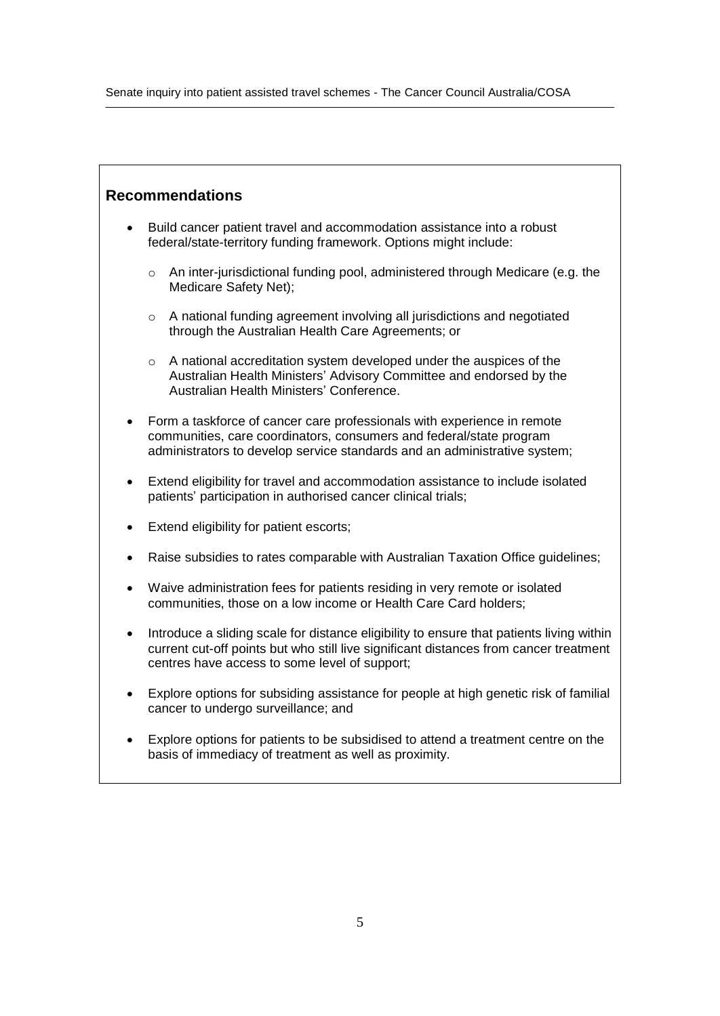# **Recommendations**

- Build cancer patient travel and accommodation assistance into a robust  $\bullet$ federal/state-territory funding framework. Options might include:
	- o An inter-jurisdictional funding pool, administered through Medicare (e.g. the Medicare Safety Net);
	- o A national funding agreement involving all jurisdictions and negotiated through the Australian Health Care Agreements; or
- o A national accreditation system developed under the auspices of the Australian Health Ministers<sup>í</sup> Conference. Australian Health Ministers' Advisory Committee and endorsed by the
- $\bullet$  Form a taskforce of cancer care professionals with experience in remote communities, care coordinators, consumers and federal/state program administrators to develop service standards and an administrative system;
- Extend eligibility for travel and accommodation assistance to include isolated • Extend eligibility for travel and accommodation assistance to patients' participation in authorised cancer clinical trials;
- Extend eligibility for patient escorts;
- Raise subsidies to rates comparable with Australian Taxation Office guidelines;
- Waive administration fees for patients residing in very remote or isolated communities, those on a low income or Health Care Card holders;
- Introduce a sliding scale for distance eligibility to ensure that patients living within current cut-off points but who still live significant distances from cancer treatment centres have access to some level of support;
- Explore options for subsiding assistance for people at high genetic risk of familial cancer to undergo surveillance; and
- Explore options for patients to be subsidised to attend a treatment centre on the  $\bullet$ basis of immediacy of treatment as well as proximity.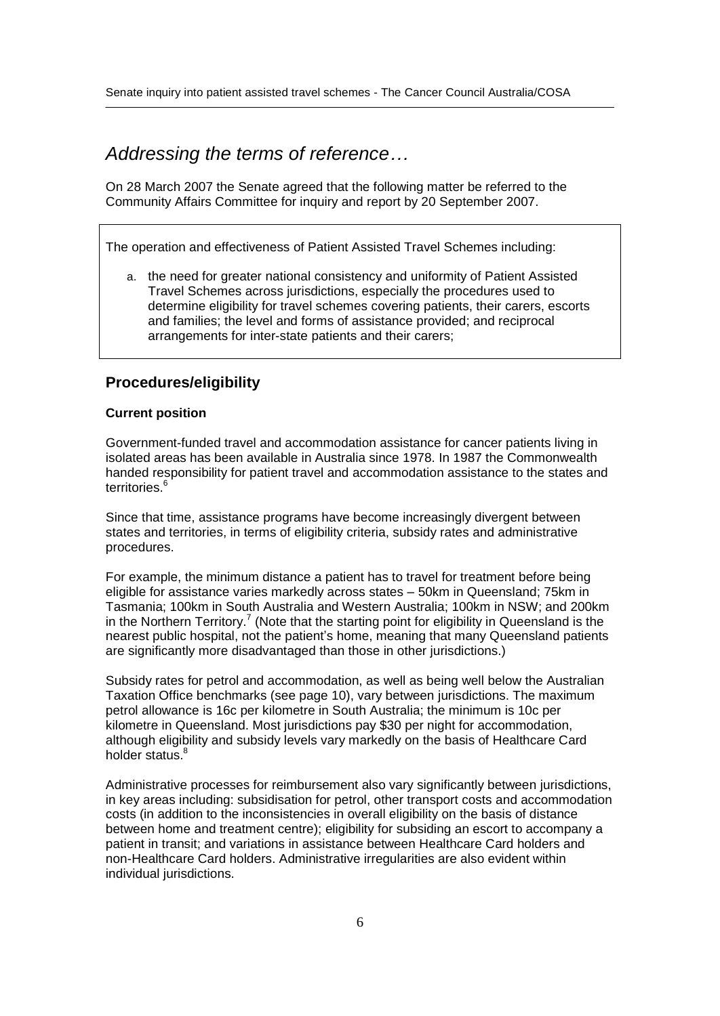# Addressing the terms of reference...

On 28 March 2007 the Senate agreed that the following matter be referred to the Community Affairs Committee for inquiry and report by 20 September 2007.

The operation and effectiveness of Patient Assisted Travel Schemes including:

a. the need for greater national consistency and uniformity of Patient Assisted Travel Schemes across jurisdictions, especially the procedures used to determine eligibility for travel schemes covering patients, their carers, escorts and families; the level and forms of assistance provided; and reciprocal arrangements for inter-state patients and their carers;

# **Procedures/eligibility**

### **Current position**

Government-funded travel and accommodation assistance for cancer patients living in isolated areas has been available in Australia since 1978. In 1987 the Commonwealth handed responsibility for patient travel and accommodation assistance to the states and territories.<sup>6</sup>

Since that time, assistance programs have become increasingly divergent between states and territories, in terms of eligibility criteria, subsidy rates and administrative procedures.

For example, the minimum distance a patient has to travel for treatment before being encourned.<br>For example, the minimum distance a patient has to travel for treatment before being<br>eligible for assistance varies markedly across states – 50km in Queensland; 75km in Tasmania; 100km in South Australia and Western Australia; 100km in NSW; and 200km<br>in the Northern Territory.<sup>7</sup> (Note that the starting point for eligibility in Queensland is the<br>nearest public hospital, not the patient's in the Northern Territory.<sup>7</sup> (Note that the starting point for eligibility in Queensland is the are significantly more disadvantaged than those in other jurisdictions.)

Subsidy rates for petrol and accommodation, as well as being well below the Australian Taxation Office benchmarks (see page 10), vary between jurisdictions. The maximum petrol allowance is 16c per kilometre in South Australia; the minimum is 10c per kilometre in Queensland. Most jurisdictions pay \$30 per night for accommodation, although eligibility and subsidy levels vary markedly on the basis of Healthcare Card holder status.<sup>8</sup>

Administrative processes for reimbursement also vary significantly between jurisdictions, in key areas including: subsidisation for petrol, other transport costs and accommodation costs (in addition to the inconsistencies in overall eligibility on the basis of distance between home and treatment centre); eligibility for subsiding an escort to accompany a patient in transit; and variations in assistance between Healthcare Card holders and non-Healthcare Card holders. Administrative irregularities are also evident within individual jurisdictions.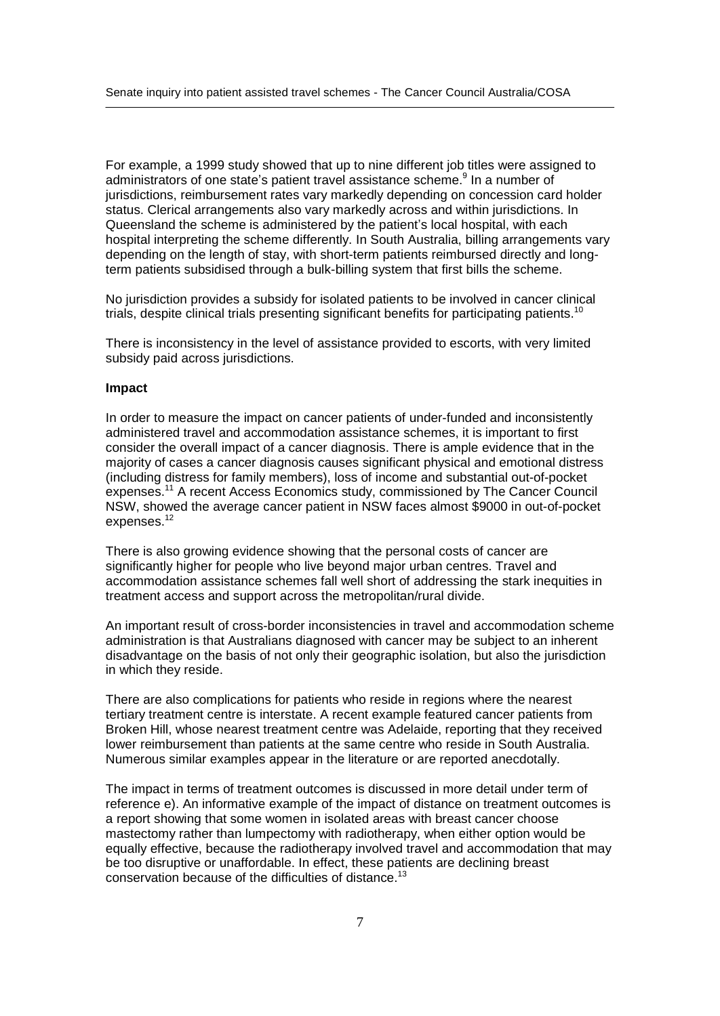For example, a 1999 study showed that up to nine different job titles were assigned to ا For example, a 1999 study showed that up to nine different job titles<br>administrators of one state's patient travel assistance scheme.<sup>9</sup> In a r administrators of one state's patient travel assistance scheme.<sup>9</sup> In a number of jurisdictions, reimbursement rates vary markedly depending on concession card holder Queensland the scheme is administered by the patientí<sup>s</sup> local hospital, with each status. Clerical arrangements also vary markedly across and within jurisdictions. In hospital interpreting the scheme differently. In South Australia, billing arrangements vary depending on the length of stay, with short-term patients reimbursed directly and longterm patients subsidised through a bulk-billing system that first bills the scheme.

No jurisdiction provides a subsidy for isolated patients to be involved in cancer clinical trials, despite clinical trials presenting significant benefits for participating patients.<sup>10</sup>

There is inconsistency in the level of assistance provided to escorts, with very limited subsidy paid across jurisdictions.

### **Impact**

In order to measure the impact on cancer patients of under-funded and inconsistently administered travel and accommodation assistance schemes, it is important to first consider the overall impact of a cancer diagnosis. There is ample evidence that in the majority of cases a cancer diagnosis causes significant physical and emotional distress (including distress for family members), loss of income and substantial out-of-pocket expenses.<sup>11</sup> A recent Access Economics study, commissioned by The Cancer Council NSW, showed the average cancer patient in NSW faces almost \$9000 in out-of-pocket expenses.<sup>12</sup>

There is also growing evidence showing that the personal costs of cancer are significantly higher for people who live beyond major urban centres. Travel and accommodation assistance schemes fall well short of addressing the stark inequities in treatment access and support across the metropolitan/rural divide.

An important result of cross-border inconsistencies in travel and accommodation scheme administration is that Australians diagnosed with cancer may be subject to an inherent disadvantage on the basis of not only their geographic isolation, but also the jurisdiction in which they reside.

There are also complications for patients who reside in regions where the nearest tertiary treatment centre is interstate. A recent example featured cancer patients from Broken Hill, whose nearest treatment centre was Adelaide, reporting that they received lower reimbursement than patients at the same centre who reside in South Australia. Numerous similar examples appear in the literature or are reported anecdotally.

The impact in terms of treatment outcomes is discussed in more detail under term of reference e). An informative example of the impact of distance on treatment outcomes is a report showing that some women in isolated areas with breast cancer choose mastectomy rather than lumpectomy with radiotherapy, when either option would be equally effective, because the radiotherapy involved travel and accommodation that may be too disruptive or unaffordable. In effect, these patients are declining breast conservation because of the difficulties of distance.<sup>13</sup>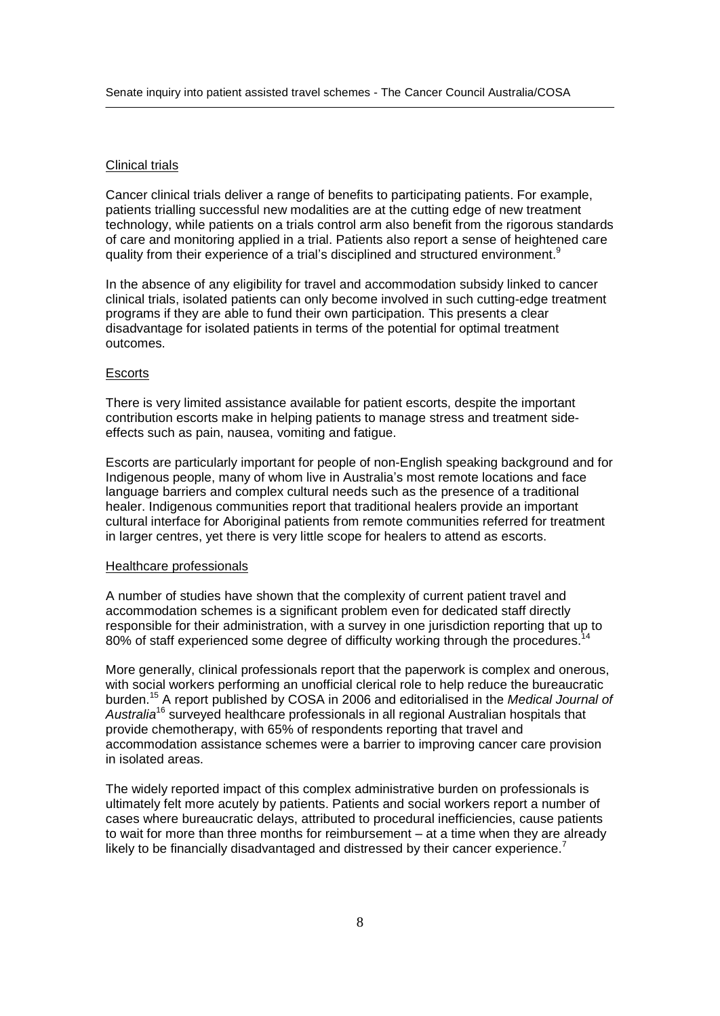### Clinical trials

Cancer clinical trials deliver a range of benefits to participating patients. For example, patients trialling successful new modalities are at the cutting edge of new treatment technology, while patients on a trials control arm also benefit from the rigorous standards<br>of care and monitoring applied in a trial. Patients also report a sense of heightened care<br>quality from their experience of a tria of care and monitoring applied in a trial. Patients also report a sense of heightened care

In the absence of any eligibility for travel and accommodation subsidy linked to cancer clinical trials, isolated patients can only become involved in such cutting-edge treatment programs if they are able to fund their own participation. This presents a clear disadvantage for isolated patients in terms of the potential for optimal treatment outcomes.

### **Escorts**

There is very limited assistance available for patient escorts, despite the important contribution escorts make in helping patients to manage stress and treatment side effects such as pain, nausea, vomiting and fatigue.

Escorts are particularly important for people of non-English speaking background and for Indigenous permany manders, comming and ranged.<br>Indigenous people, many of whom live in Australia's most remote locations and face<br>Indigenous people, many of whom live in Australia's most remote locations and face language barriers and complex cultural needs such as the presence of a traditional healer. Indigenous communities report that traditional healers provide an important cultural interface for Aboriginal patients from remote communities referred for treatment in larger centres, yet there is very little scope for healers to attend as escorts.

### Healthcare professionals

A number of studies have shown that the complexity of current patient travel and accommodation schemes is a significant problem even for dedicated staff directly responsible for their administration, with a survey in one jurisdiction reporting that up to 80% of staff experienced some degree of difficulty working through the procedures.<sup>14</sup>

More generally, clinical professionals report that the paperwork is complex and onerous, with social workers performing an unofficial clerical role to help reduce the bureaucratic burden.<sup>15</sup> A report published by COSA in 2006 and editorialised in the Medical Journal of Australia<sup>16</sup> surveyed healthcare professionals in all regional Australian hospitals that provide chemotherapy, with 65% of respondents reporting that travel and accommodation assistance schemes were a barrier to improving cancer care provision in isolated areas.

The widely reported impact of this complex administrative burden on professionals is ultimately felt more acutely by patients. Patients and social workers report a number of cases where bureaucratic delays, attributed to procedural inefficiencies, cause patients to wait for more than three months for reimbursement  $-$  at a time when they are already likely to be financially disadvantaged and distressed by their cancer experience.<sup>7</sup>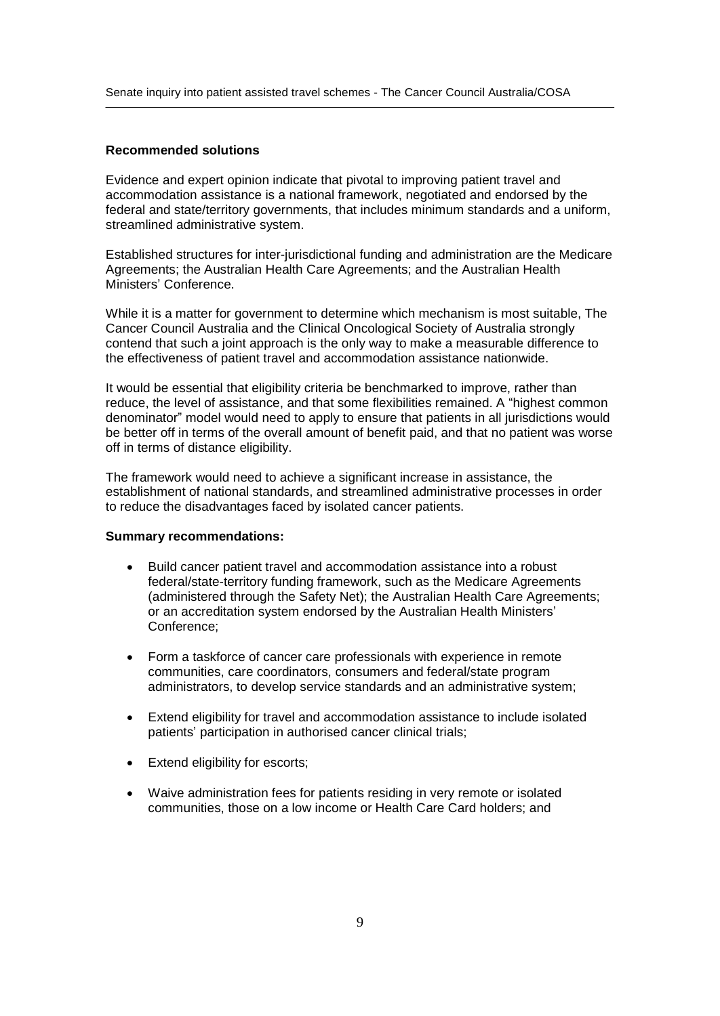### **Recommended solutions**

Evidence and expert opinion indicate that pivotal to improving patient travel and accommodation assistance is a national framework, negotiated and endorsed by the federal and state/territory governments, that includes minimum standards and a uniform, streamlined administrative system.

Established structures for inter-jurisdictional funding and administration are the Medicare Ministers<sup>í</sup> Conference. Agreements; the Australian Health Care Agreements; and the Australian Health

While it is a matter for government to determine which mechanism is most suitable, The Cancer Council Australia and the Clinical Oncological Society of Australia strongly contend that such a joint approach is the only way to make a measurable difference to the effectiveness of patient travel and accommodation assistance nationwide.

It would be essential that eligibility criteria be benchmarked to improve, rather than reduce, the level of parameters and that some flexibilities remained that than<br>It would be essential that eligibility criteria be benchmarked to improve, rather than<br>reduce, the level of assistance, and that some flexibili reduce, the level of assistance, and that some flexibilities remained. A "highest common denominator" model would need to apply to ensure that patients in all jurisdictions would be better off in terms of the overall amount of benefit paid, and that no patient was worse off in terms of distance eligibility.

The framework would need to achieve a significant increase in assistance, the establishment of national standards, and streamlined administrative processes in order to reduce the disadvantages faced by isolated cancer patients.

### **Summary recommendations:**

- Build cancer patient travel and accommodation assistance into a robust  $\bullet$ Federal/state-territory funding framework, such as the Medicare Agreements<br>(administered through the Safety Net); the Australian Health Care Agreements<br>or an accreditation system endorsed by the Australian Health Ministers federal/state-territory funding framework, such as the Medicare Agreements (administered through the Safety Net); the Australian Health Care Agreements; Conference;
- Form a taskforce of cancer care professionals with experience in remote communities, care coordinators, consumers and federal/state program administrators, to develop service standards and an administrative system;
- Extend eligibility for travel and accommodation assistance to include isolated ● Extend eligibility for travel and accommodation assistance to<br>patients' participation in authorised cancer clinical trials;
- Extend eligibility for escorts;
- Waive administration fees for patients residing in very remote or isolated communities, those on a low income or Health Care Card holders; and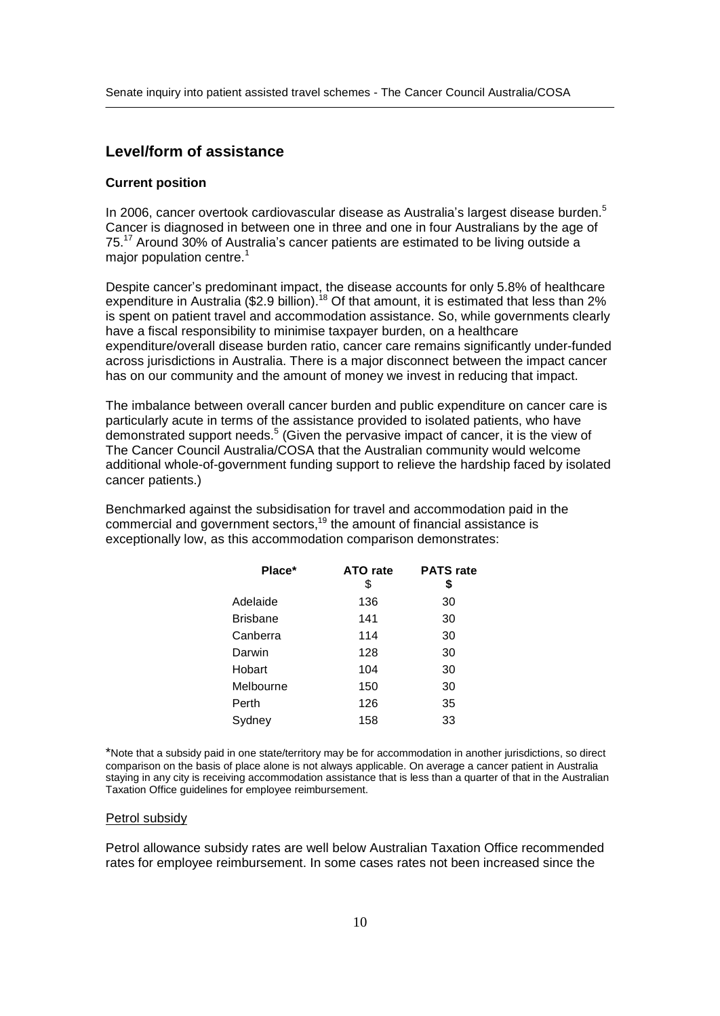# **Level/form of assistance**

### **Current position**

**Current position**<br>In 2006, cancer overtook cardiovascular disease as Australia's largest disease burden.<sup>5</sup> Cancer is diagnosed in between one in three and one in four Australians by the age of In 2006, cancer overtook cardiovascular disease as Australia's largest disease burden.<sup>5</sup><br>Cancer is diagnosed in between one in three and one in four Australians by the age of<br>75.<sup>17</sup> Around 30% of Australia's cancer patie major population centre. $1$  $75.<sup>17</sup>$  Around 30% of Australia's cancer patients are estimated to be living outside a major population centre.<sup>1</sup><br>Despite cancer's predominant impact, the disease accounts for only 5.8% of healthcare

expenditure in Australia (\$2.9 billion).<sup>18</sup> Of that amount, it is estimated that less than 2% is spent on patient travel and accommodation assistance. So, while governments clearly have a fiscal responsibility to minimise taxpayer burden, on a healthcare expenditure/overall disease burden ratio, cancer care remains significantly under-funded across jurisdictions in Australia. There is a major disconnect between the impact cancer has on our community and the amount of money we invest in reducing that impact.

The imbalance between overall cancer burden and public expenditure on cancer care is particularly acute in terms of the assistance provided to isolated patients, who have demonstrated support needs.<sup>5</sup> (Given the pervasive impact of cancer, it is the view of The Cancer Council Australia/COSA that the Australian community would welcome additional whole-of-government funding support to relieve the hardship faced by isolated cancer patients.)

Benchmarked against the subsidisation for travel and accommodation paid in the  $\alpha$  commercial and government sectors,<sup>19</sup> the amount of financial assistance is exceptionally low, as this accommodation comparison demonstrates:

| Place*    | ATO rate<br>\$ | <b>PATS</b> rate<br>\$ |  |
|-----------|----------------|------------------------|--|
| Adelaide  | 136            | 30                     |  |
| Brisbane  | 141            | 30                     |  |
| Canberra  | 114            | 30                     |  |
| Darwin    | 128            | 30                     |  |
| Hobart    | 104            | 30                     |  |
| Melbourne | 150            | 30                     |  |
| Perth     | 126            | 35                     |  |
| Sydney    | 158            | 33                     |  |

\*Note that a subsidy paid in one state/territory may be for accommodation in another jurisdictions, so direct comparison on the basis of place alone is not always applicable. On average a cancer patient in Australia staying in any city is receiving accommodation assistance that is less than a quarter of that in the Australian Taxation Office guidelines for employee reimbursement.

#### Petrol subsidy

Petrol allowance subsidy rates are well below Australian Taxation Office recommended rates for employee reimbursement. In some cases rates not been increased since the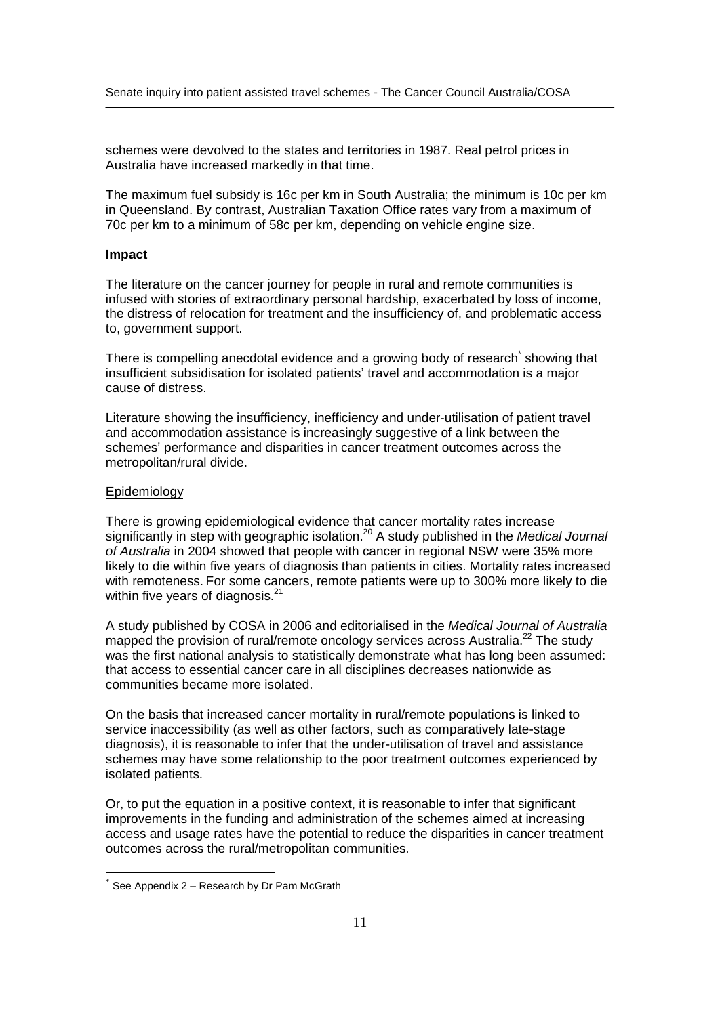schemes were devolved to the states and territories in 1987. Real petrol prices in Australia have increased markedly in that time.

The maximum fuel subsidy is 16c per km in South Australia; the minimum is 10c per km in Queensland. By contrast, Australian Taxation Office rates vary from a maximum of 70c per km to a minimum of 58c per km, depending on vehicle engine size.

# **Impact**

The literature on the cancer journey for people in rural and remote communities is infused with stories of extraordinary personal hardship, exacerbated by loss of income, the distress of relocation for treatment and the insufficiency of, and problematic access to, government support.

There is compelling anecdotal evidence and a growing body of research<sup>\*</sup> showing that is, getemment supper...<br>There is compelling anecdotal evidence and a growing body of research໋ showing that<br>insufficient subsidisation for isolated patients' travel and accommodation is a major cause of distress.

Literature showing the insufficiency, inefficiency and under-utilisation of patient travel schemes<sup>í</sup> performance and disparities in cancer treatment outcomes across the and accommodation assistance is increasingly suggestive of a link between the metropolitan/rural divide.

#### Epidemiology

There is growing epidemiological evidence that cancer mortality rates increase significantly in step with geographic isolation.<sup>20</sup> A study published in the Medical Journal of Australia in 2004 showed that people with cancer in regional NSW were 35% more likely to die within five years of diagnosis than patients in cities. Mortality rates increased with remoteness. For some cancers, remote patients were up to 300% more likely to die within five years of diagnosis.<sup>21</sup>

A study published by COSA in 2006 and editorialised in the Medical Journal of Australia mapped the provision of rural/remote oncology services across Australia.<sup>22</sup> The study was the first national analysis to statistically demonstrate what has long been assumed: that access to essential cancer care in all disciplines decreases nationwide as communities became more isolated.

On the basis that increased cancer mortality in rural/remote populations is linked to service inaccessibility (as well as other factors, such as comparatively late-stage diagnosis), it is reasonable to infer that the under-utilisation of travel and assistance schemes may have some relationship to the poor treatment outcomes experienced by isolated patients.

Or, to put the equation in a positive context, it is reasonable to infer that significant improvements in the funding and administration of the schemes aimed at increasing access and usage rates have the potential to reduce the disparities in cancer treatment outcomes across the rural/metropolitan communities.

See Appendix 2 - Research by Dr Pam McGrath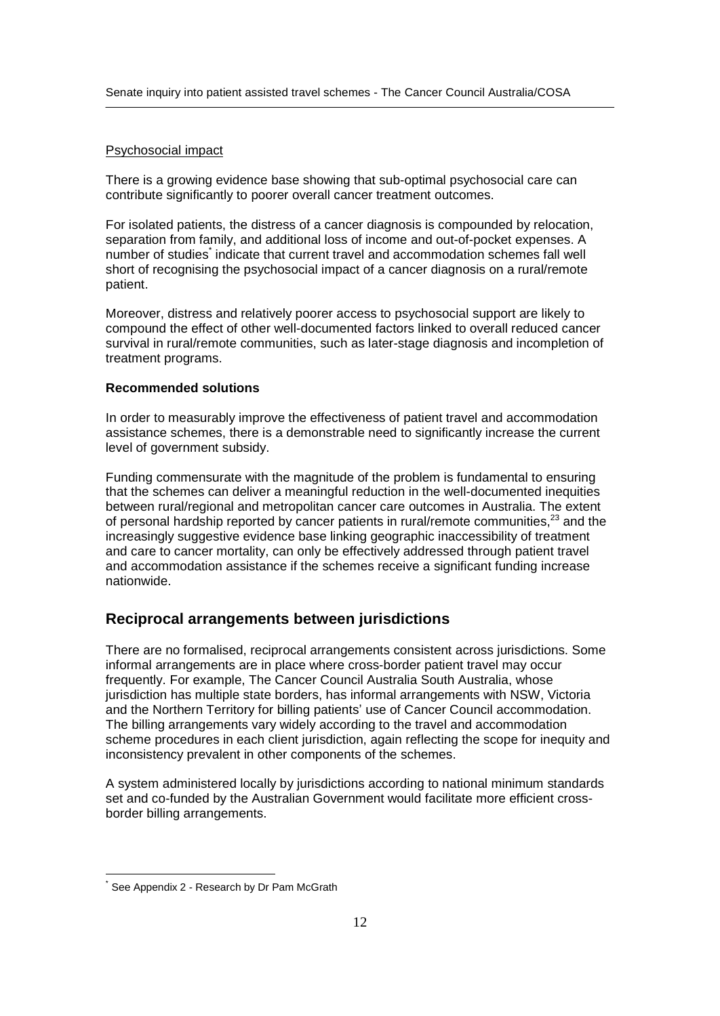# Psychosocial impact

There is a growing evidence base showing that sub-optimal psychosocial care can contribute significantly to poorer overall cancer treatment outcomes.

For isolated patients, the distress of a cancer diagnosis is compounded by relocation, separation from family, and additional loss of income and out-of-pocket expenses. A number of studies<sup>\*</sup> indicate that current travel and accommodation schemes fall well short of recognising the psychosocial impact of a cancer diagnosis on a rural/remote patient.

Moreover, distress and relatively poorer access to psychosocial support are likely to compound the effect of other well-documented factors linked to overall reduced cancer survival in rural/remote communities, such as later-stage diagnosis and incompletion of treatment programs.

# **Recommended solutions**

In order to measurably improve the effectiveness of patient travel and accommodation assistance schemes, there is a demonstrable need to significantly increase the current level of government subsidy.

Funding commensurate with the magnitude of the problem is fundamental to ensuring that the schemes can deliver a meaningful reduction in the well-documented inequities between rural/regional and metropolitan cancer care outcomes in Australia. The extent of personal hardship reported by cancer patients in rural/remote communities, $^{23}$  and the increasingly suggestive evidence base linking geographic inaccessibility of treatment and care to cancer mortality, can only be effectively addressed through patient travel and accommodation assistance if the schemes receive a significant funding increase nationwide.

# **Reciprocal arrangements between jurisdictions**

There are no formalised, reciprocal arrangements consistent across jurisdictions. Some informal arrangements are in place where cross-border patient travel may occur frequently. For example, The Cancer Council Australia South Australia, whose jurisdiction has multiple state borders, has informal arrangements with NSW, Victoria and the Northern Territory for billing patients' use of Cancer Council accommodation. The billing arrangements vary widely according to the travel and accommodation scheme procedures in each client jurisdiction, again reflecting the scope for inequity and inconsistency prevalent in other components of the schemes.

A system administered locally by jurisdictions according to national minimum standards set and co-funded by the Australian Government would facilitate more efficient cross border billing arrangements.

See Appendix 2 - Research by Dr Pam McGrath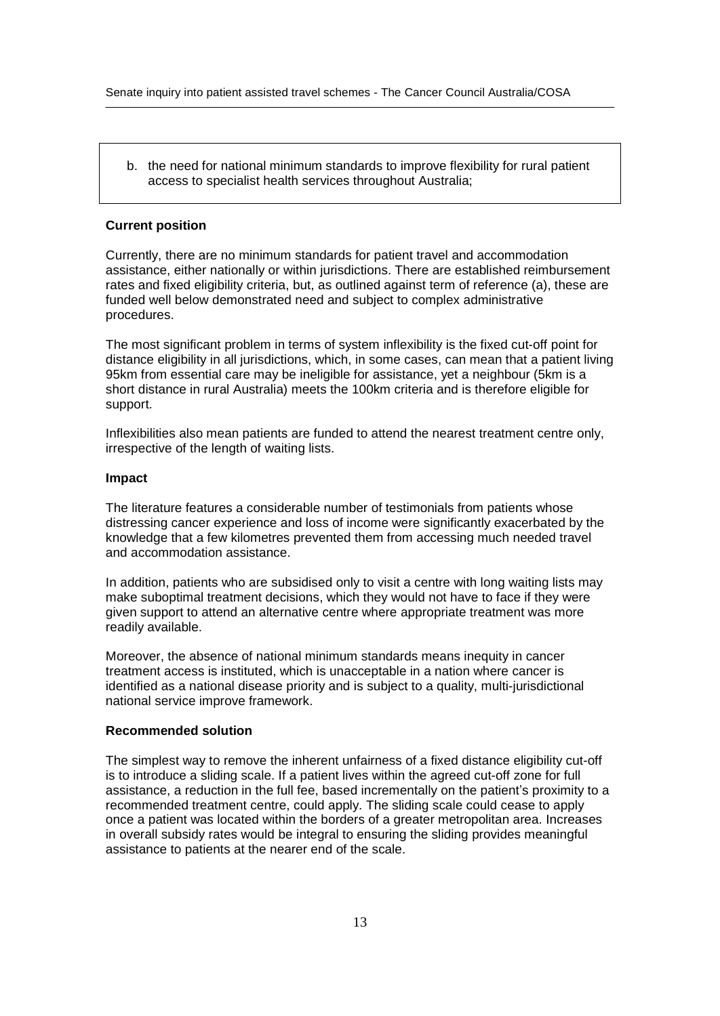Senate inquiry into patient assisted travel schemes - The Cancer Council Australia/COSA

b. the need for national minimum standards to improve flexibility for rural patient access to specialist health services throughout Australia;

### **Current position**

Currently, there are no minimum standards for patient travel and accommodation assistance, either nationally or within jurisdictions. There are established reimbursement rates and fixed eligibility criteria, but, as outlined against term of reference (a), these are funded well below demonstrated need and subject to complex administrative procedures.

The most significant problem in terms of system inflexibility is the fixed cut-off point for distance eligibility in all jurisdictions, which, in some cases, can mean that a patient living 95km from essential care may be ineligible for assistance, yet a neighbour (5km is a short distance in rural Australia) meets the 100km criteria and is therefore eligible for support.

Inflexibilities also mean patients are funded to attend the nearest treatment centre only, irrespective of the length of waiting lists.

### **Impact**

The literature features a considerable number of testimonials from patients whose distressing cancer experience and loss of income were significantly exacerbated by the knowledge that a few kilometres prevented them from accessing much needed travel and accommodation assistance.

In addition, patients who are subsidised only to visita centre with long waiting lists may make suboptimal treatment decisions, which they would not have to face if they were given support to attend an alternative centre where appropriate treatment was more readily available.

Moreover, the absence of national minimum standards means inequity in cancer treatment access is instituted, which is unacceptable in a nation where cancer is identified as a national disease priority and is subject to a quality, multi-jurisdictional national service improve framework.

### **Recommended solution**

The simplest way to remove the inherent unfairness of a fixed distance eligibility cut-off is to introduce a sliding scale. If a patient lives within the agreed cut-off zone for full assistance, a reduction in the full fee, based incrementally on the patient's proximity to a recommended treatment centre, could apply. The sliding scale could cease to apply once a patient was located within the borders of a greater metropolitan area. Increases in overall subsidy rates would be integral to ensuring the sliding provides meaningful assistance to patients at the nearer end of the scale.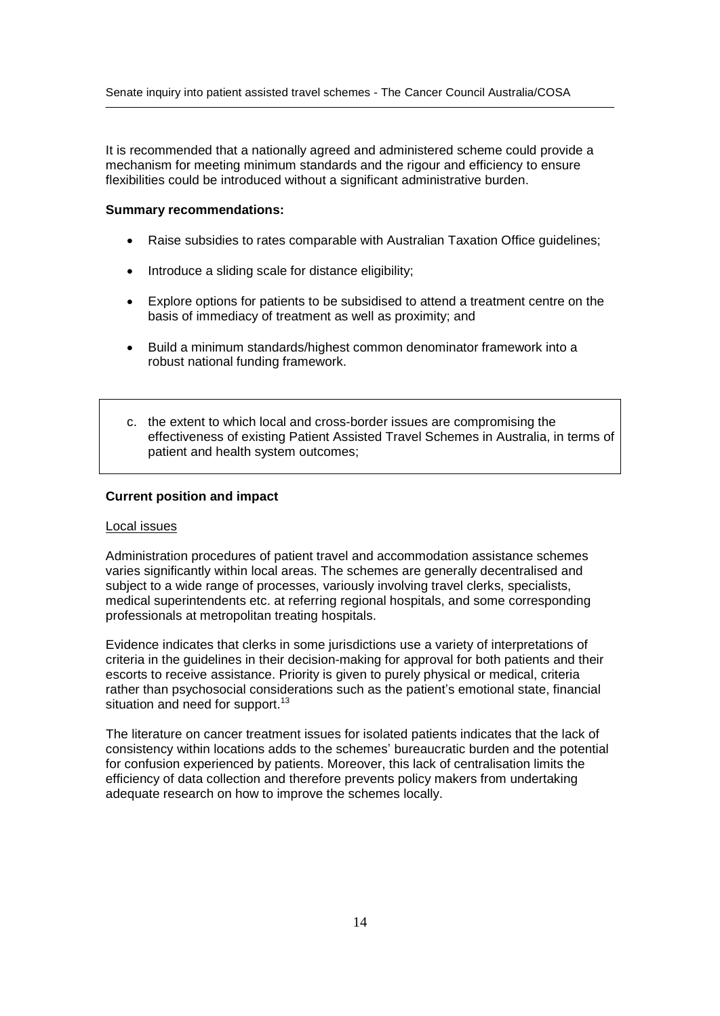It is recommended that a nationally agreed and administered scheme could provide a mechanism for meeting minimum standards and the rigour and efficiency to ensure flexibilities could be introduced without a significant administrative burden.

### **Summary recommendations:**

- Raise subsidies to rates comparable with Australian Taxation Office guidelines;
- Introduce a sliding scale for distance eligibility;
- Explore options for patients to be subsidised to attend a treatment centre on the basis of immediacy of treatment as well as proximity; and
- Build a minimum standards/highest common denominator framework into a robust national funding framework.
- c. the extent to which local and cross-border issues are compromising the effectiveness of existing Patient Assisted Travel Schemes in Australia, in terms of patient and health system outcomes;

### **Current position and impact**

#### Local issues

Administration procedures of patient travel and accommodation assistance schemes varies significantly within local areas. The schemes are generally decentralised and subject to a wide range of processes, variously involving travel clerks, specialists, medical superintendents etc. at referring regional hospitals, and some corresponding professionals at metropolitan treating hospitals.

Evidence indicates that clerks in some jurisdictions use a variety of interpretations of criteria in the guidelines in their decision-making for approval for both patients and their escorts to receive assistance. Priority is given to purely physical or medical, criteria criteria in the guidelines in their decision-making for approval for both patients and their<br>escorts to receive assistance. Priority is given to purely physical or medical, criteria<br>rather than psychosocial considerations situation and need for support.<sup>13</sup>

The literature on cancer treatment issues for isolated patients indicates that the lack of consistency within locations adds to the schemes' bureaucratic burden and the potential for confusion experienced by patients. Moreover, this lack of centralisation limits the efficiency of data collection and therefore prevents policy makers from undertaking adequate research on how to improve the schemes locally.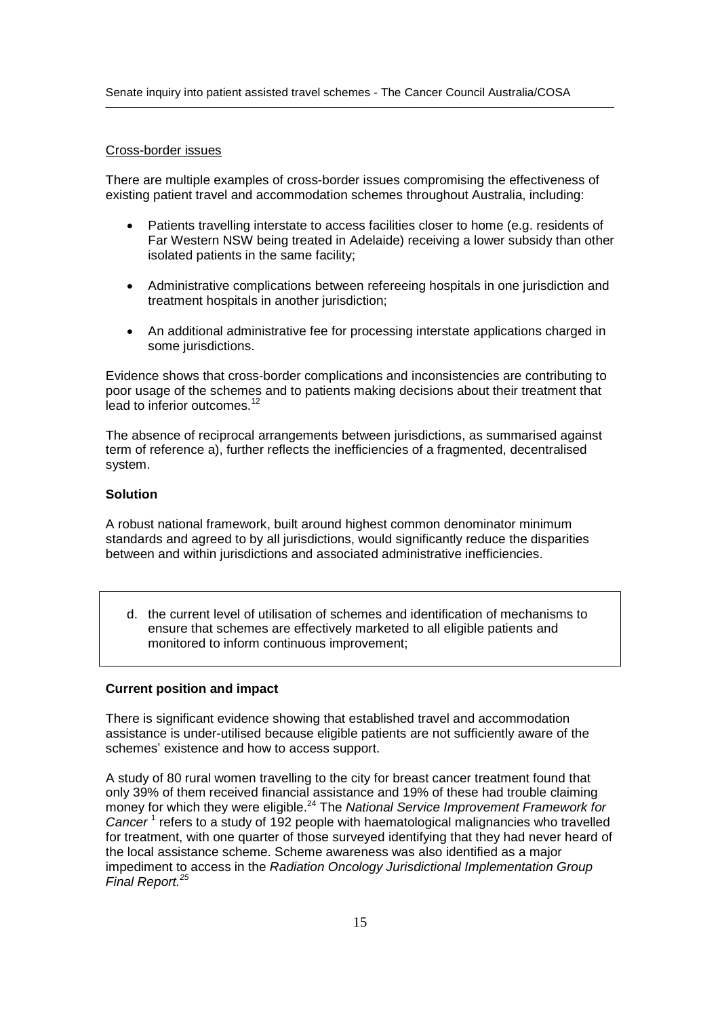## Cross-border issues

There are multiple examples of cross-border issues compromising the effectiveness of existing patient travel and accommodation schemes throughout Australia, including:

- Patients travelling interstate to access facilities closer to home (e.g. residents of  $\bullet$ Far Western NSW being treated in Adelaide) receiving a lower subsidy than other isolated patients in the same facility;
- Administrative complications between refereeing hospitals in one jurisdiction and treatment hospitals in another jurisdiction;
- An additional administrative fee for processing interstate applications charged in some jurisdictions.

Evidence shows that cross-border complications and inconsistencies are contributing to poor usage of the schemes and to patients making decisions about their treatment that lead to inferior outcomes.<sup>12</sup>

The absence of reciprocal arrangements between jurisdictions, as summarised against term of reference a), further reflects the inefficiencies of a fragmented, decentralised system.

### **Solution**

A robust national framework, built around highest common denominator minimum standards and agreed to by all jurisdictions, would significantly reduce the disparities between and within jurisdictions and associated administrative inefficiencies.

d. the current level of utilisation of schemes and identification of mechanisms to ensure that schemes are effectively marketed to all eligible patients and monitored to inform continuous improvement;

### **Current position and impact**

There is significant evidence showing that established travel and accommodation assistance is under-utilised because eligible patients are not sufficiently aware of the schemes' existence and how to access support.

A study of 80 rural women travelling to the city for breast cancer treatment found that only 39% of them received financial assistance and 19% of these had trouble claiming money for which they were eligible.<sup>24</sup> The National Service Improvement Framework for Cancer<sup>1</sup> refers to a study of 192 people with haematological malignancies who travelled for treatment, with one quarter of those surveyed identifying that they had never heard of the local assistance scheme. Scheme awareness was also identified as a major impediment to access in the Radiation Oncology Jurisdictional Implementation Group Final Report.<sup>25</sup>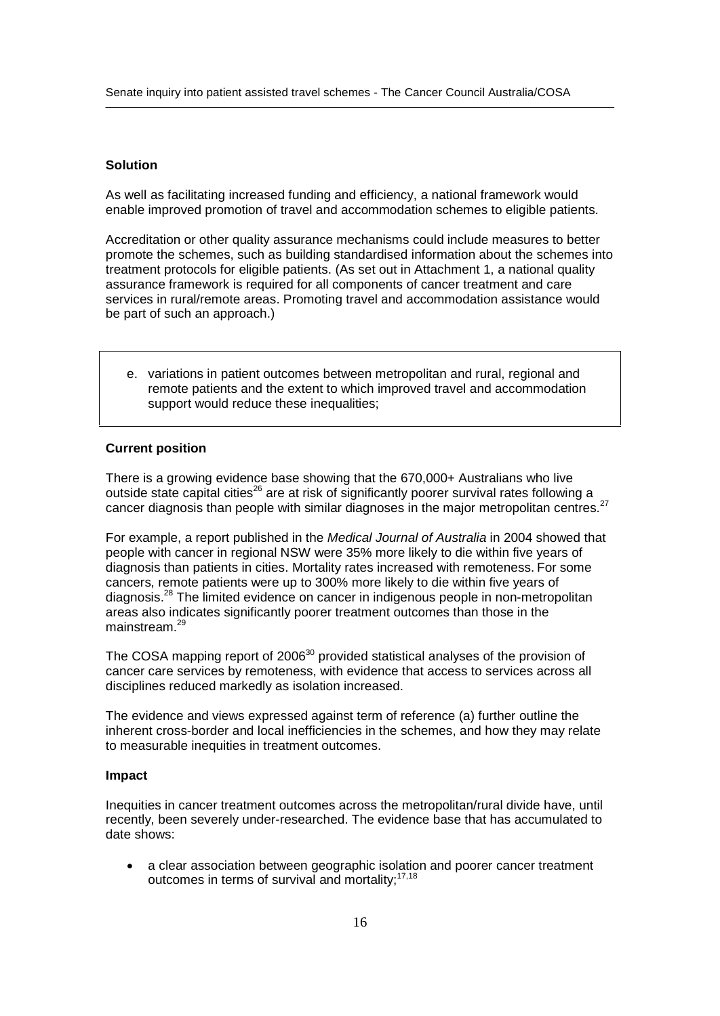# **Solution**

As wellas facilitating increased funding and efficiency, a national framework would enable improved promotion of travel and accommodation schemes to eligible patients.

Accreditation or other quality assurance mechanisms could include measures to better promote the schemes, such as building standardised information about the schemes into treatment protocols for eligible patients. (As setout in Attachment 1, a national quality assurance framework is required for all components of cancer treatment and care services in rural/remote areas. Promoting travel and accommodation assistance would be part of such an approach.)

e. variations in patient outcomes between metropolitan and rural, regional and remote patients and the extent to which improved travel and accommodation support would reduce these inequalities;

### **Current position**

There is a growing evidence base showing that the 670,000+ Australians who live outside state capital cities<sup>26</sup> are at risk of significantly poorer survival rates following a cancer diagnosis than people with similar diagnoses in the major metropolitan centres.<sup>27</sup>

For example, a report published in the Medical Journal of Australia in 2004 showed that people with cancer in regional NSW were 35% more likely to die within five years of diagnosis than patients in cities. Mortality rates increased with remoteness. For some cancers, remote patients were up to 300% more likely to die within five years of diagnosis.<sup>28</sup> The limited evidence on cancer in indigenous people in non-metropolitan areas also indicates significantly poorer treatment outcomes than those in the mainstream.<sup>29</sup>

The COSA mapping report of 2006<sup>30</sup> provided statistical analyses of the provision of cancer care services by remoteness, with evidence that access to services across all disciplines reduced markedly as isolation increased.

The evidence and views expressed against term of reference (a) further outline the inherent cross-border and local inefficiencies in the schemes, and how they may relate to measurable inequities in treatment outcomes.

### **Impact**

Inequities in cancer treatment outcomes across the metropolitan/rural divide have, until recently, been severely under-researched. The evidence base that has accumulated to date shows:

 a clear association between geographic isolation and poorer cancer treatment  $\bullet$ outcomes in terms of survival and mortality;<sup>17,18</sup>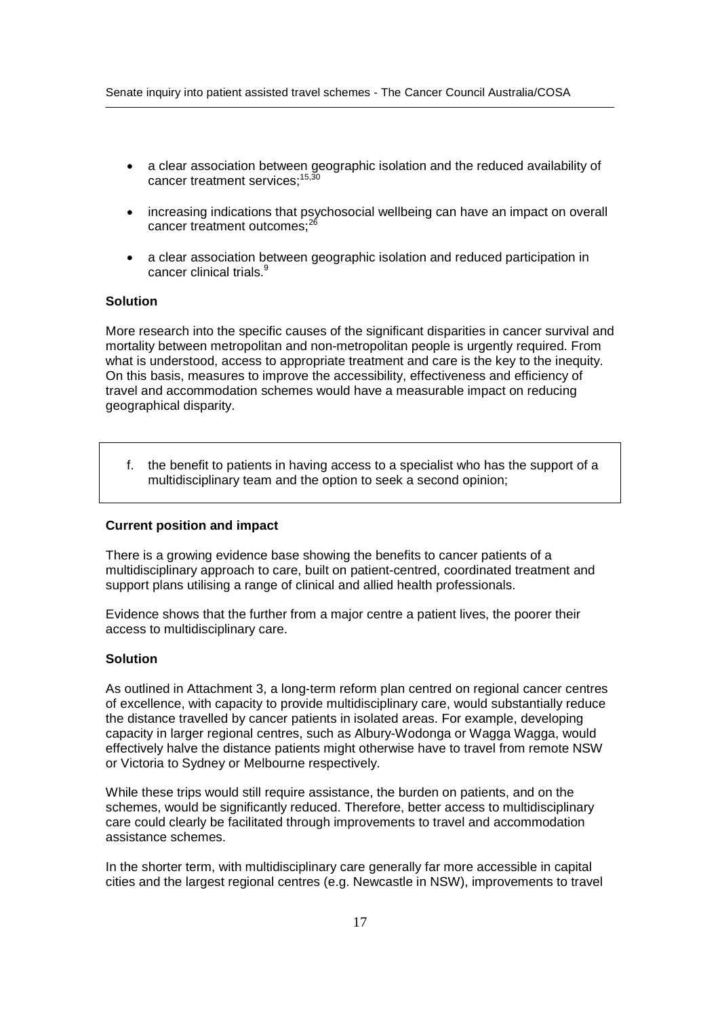- a clear association between geographic isolation and the reduced availability of cancer treatment services:<sup>15,30</sup>
- increasing indications that psychosocial wellbeing can have an impact on overall cancer treatment outcomes:<sup>26</sup>
- a clear association between geographic isolation and reduced participation in cancer clinical trials.<sup>9</sup>

### **Solution**

More research into the specific causes of the significant disparities in cancer survival and mortality between metropolitan and non-metropolitan people is urgently required. From what is understood, access to appropriate treatment and care is the key to the inequity. On this basis, measures to improve the accessibility, effectiveness and efficiency of travel and accommodation schemes would have a measurable impact on reducing geographical disparity.

f. the benefit to patients in having access to a specialist who has the support of a multidisciplinary team and the option to seek a second opinion;

### **Current position and impact**

There is a growing evidence base showing the benefits to cancer patients of a multidisciplinary approach to care, built on patient-centred, coordinated treatment and support plans utilising a range of clinical and allied health professionals.

Evidence shows that the further from a major centre a patient lives, the poorer their access to multidisciplinary care.

## **Solution**

As outlined in Attachment 3, a long-term reform plan centred on regional cancer centres of excellence, with capacity to provide multidisciplinary care, would substantially reduce the distance travelled by cancer patients in isolated areas. For example, developing capacity in larger regional centres, such as Albury-Wodonga or Wagga Wagga, would effectively halve the distance patients might otherwise have to travel from remote NSW or Victoria to Sydney or Melbourne respectively.

While these trips would still require assistance, the burden on patients, and on the schemes, would be significantly reduced. Therefore, better access to multidisciplinary care could clearly be facilitated through improvements to travel and accommodation assistance schemes.

In the shorter term, with multidisciplinary care generally far more accessible in capital cities and the largest regional centres (e.g. Newcastle in NSW), improvements to travel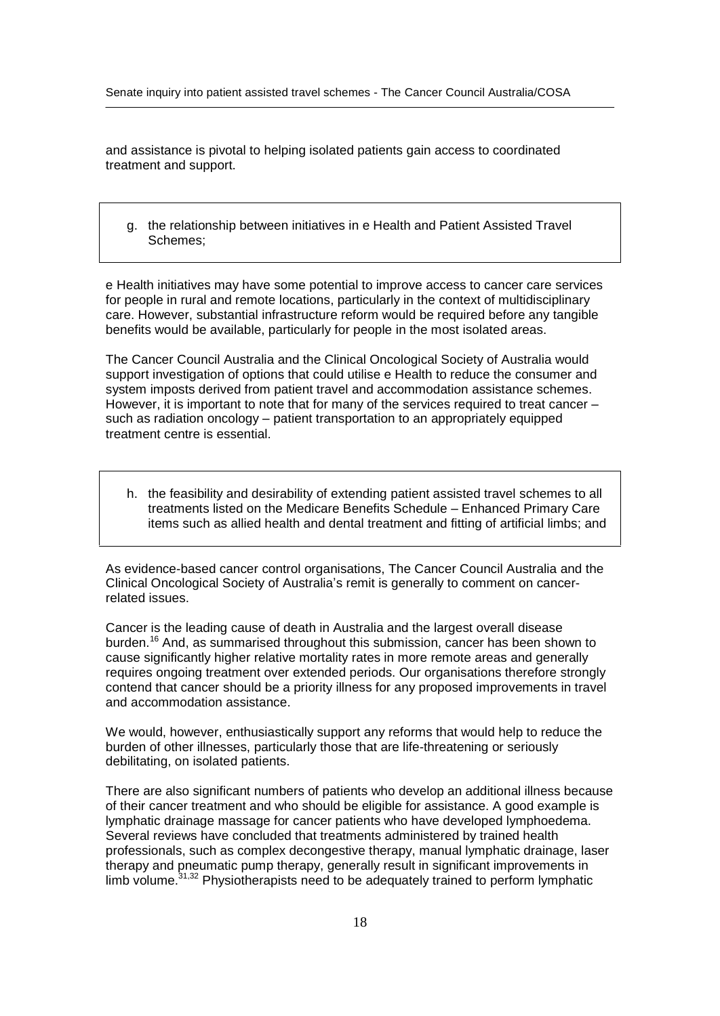and assistance is pivotal to helping isolated patients gain access to coordinated treatment and support.

g. the relationship between initiatives in e Health and Patient Assisted Travel Schemes;

e Health initiatives may have some potential to improve access to cancer care services for people in rural and remote locations, particularly in the context of multidisciplinary care. However, substantial infrastructure reform would be required before any tangible benefits would be available, particularly for people in the most isolated areas.

The Cancer Council Australia and the Clinical Oncological Society of Australia would support investigation of options that could utilise e Health to reduce the consumer and system imposts derived from patient travel and accommodation assistance schemes.<br>However, it is important to note that for many of the system imposts derived from patient travel and accommodation assistance schemes. However, it is important to note that for many of the services required to treat cancer  $-$  such as radiation oncology  $-$  patient transportation to an appropriately equipped treatment centre is essential.

h. the feasibility and desirability of extending patient assisted travel schemes to all treatments listed on the Medicare Benefits Schedule - Enhanced Primary Care items such as allied health and dental treatment and fitting of artificial limbs; and

As evidence-based cancer control organisations, The Cancer Council Australia and the Clinical Oncological Society of Australiaí<sup>s</sup> remit is generally to comment on cancerrelated issues.

Cancer is the leading cause of death in Australia and the largest overall disease burden.<sup>16</sup> And, as summarised throughout this submission, cancer has been shown to cause significantly higher relative mortality rates in more remote areas and generally requires ongoing treatment over extended periods. Our organisations therefore strongly contend that cancer should be a priority illness for any proposed improvements in travel and accommodation assistance.

We would, however, enthusiastically support any reforms that would help to reduce the burden of other illnesses, particularly those that are life-threatening or seriously debilitating, on isolated patients.

There are also significant numbers of patients who develop an additional illness because of their cancer treatment and who should be eligible for assistance. A good example is lymphatic drainage massage for cancer patients who have developed lymphoedema. Several reviews have concluded that treatments administered by trained health professionals, such as complex decongestive therapy, manual lymphatic drainage, laser therapy and pneumatic pump therapy, generally result in significant improvements in limb volume.<sup>31,32</sup> Physiotherapists need to be adequately trained to perform lymphatic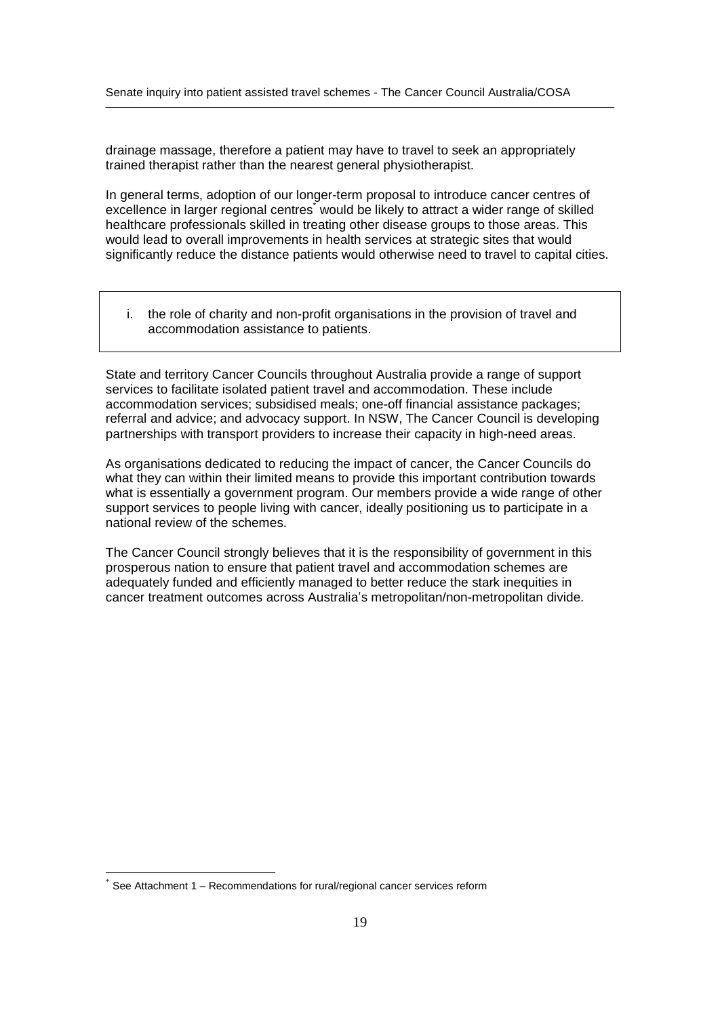drainage massage, therefore a patient may have to travel to seek an appropriately trained therapist rather than the nearest general physiotherapist.

In general terms, adoption of our longer-term proposal to introduce cancer centres of excellence in larger regional centres would be likely to attract a wider range of skilled healthcare professionals skilled in treating other disease groups to those areas. This would lead to overall improvements in health services at strategic sites that would significantly reduce the distance patients would otherwise need to travel to capital cities.

i. the role of charity and non-profit organisations in the provision of travel and accommodation assistance to patients.

State and territory Cancer Councils throughout Australia provide a range of support services to facilitate isolated patient travel and accommodation. These include accommodation services; subsidised meals; one-off financial assistance packages; referral and advice; and advocacy support. In NSW, The Cancer Council is developing partnerships with transport providers to increase their capacity in high-need areas.

As organisations dedicated to reducing the impact of cancer, the Cancer Councils do what they can within their limited means to provide this important contribution towards what is essentially a government program. Our members provide a wide range of other support services to people living with cancer, ideally positioning us to participate in a national review of the schemes.

The Cancer Council strongly believes that it is the responsibility of government in this prosperous nation to ensure that patient travel and accommodation schemes are adequately funded and efficiently managed to better reduce the stark inequities in cancer treatment outcomes across Australiaí<sup>s</sup> metropolitan/non-metropolitan divide.

See Attachment 1 – Recommendations for rural/regional cancer services reform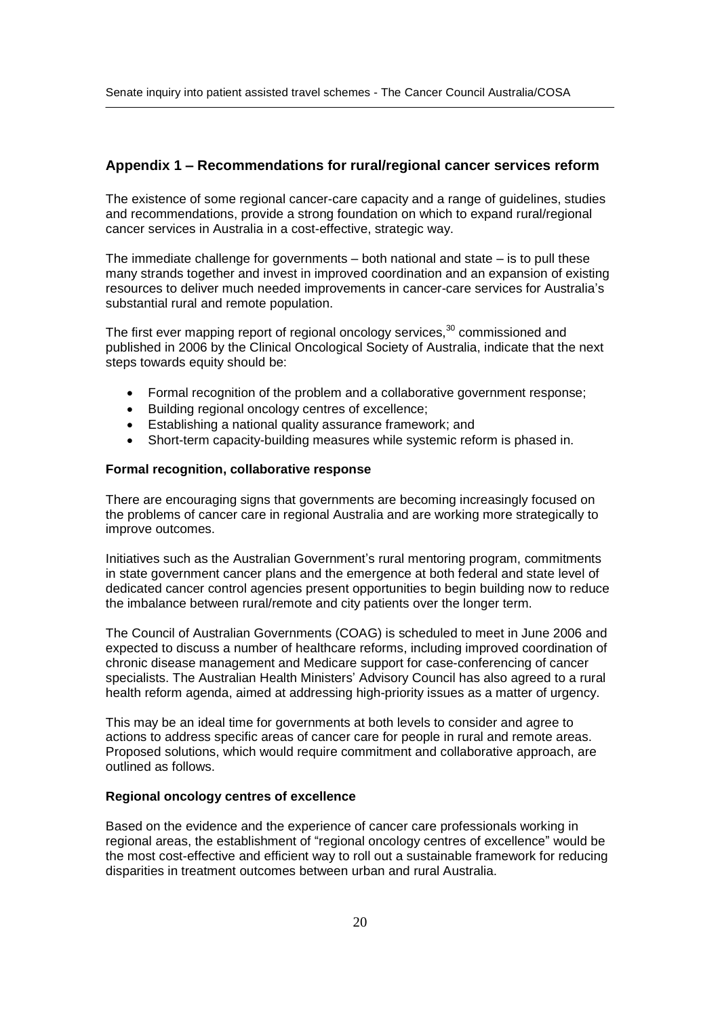# **Appendix <sup>1</sup> <sup>ñ</sup> Recommendations for rural/regional cancer services reform**

The existence of some regional cancer-care capacity and a range of guidelines, studies and recommendations, provide a strong foundation on which to expand rural/regional cancer services in Australia in a cost-effective, strategic way. The immediate challenge for governments – both national and state – is to pull these<br>The immediate challenge for governments – both national and state – is to pull these

many strands together and invest in improved coordination and an expansion of existing The immediate challenge for governments – both national and state – is to pull these<br>many strands together and invest in improved coordination and an expansion of existing<br>resources to deliver much needed improvements in c substantial rural and remote population.

The first ever mapping report of regional oncology services, $30$  commissioned and published in 2006 by the Clinical Oncological Society of Australia, indicate that the next steps towards equity should be:

- Formal recognition of the problem and <sup>a</sup> collaborative government response; • Formal recognition of the problem and a collaborative<br>• Building regional oncology centres of excellence;
- Building regional oncology centres of excellence;
- Establishing a national quality assurance framework; and
- Short-term capacity-building measures while systemic reform is phased in.

### **Formal recognition, collaborative response**

There are encouraging signs that governments are becoming increasingly focused on the problems of cancer care in regional Australia and are working more strategically to improve outcomes.

Initiatives such as the Australian Government's rural mentoring program, commitments in state government cancer plans and the emergence at both federal and state level of dedicated cancer control agencies present opportunities to begin building now to reduce the imbalance between rural/remote and city patients over the longer term.

The Council of Australian Governments (COAG) is scheduled to meet in June 2006 and expected to discuss a number of healthcare reforms, including improved coordination of chronic disease management and Medicare support for case-conferencing of cancer specialists. The Australian Health Ministers' Advisory Council has also agreed to a rural health reform agenda, aimed at addressing high-priority issues as a matter of urgency.

This may be an ideal time for governments at both levels to consider and agree to actions to address specific areas of cancer care for people in rural and remote areas. Proposed solutions, which would require commitment and collaborative approach, are outlined as follows.

### **Regional oncology centres of excellence**

Based on the evidence and the experience of cancer care professionals working in regional areas, the establishment of "regional oncology centres of excellence" would be the most cost-effective and efficient way to roll out a sustainable framework for reducing disparities in treatment outcomes between urban and rural Australia.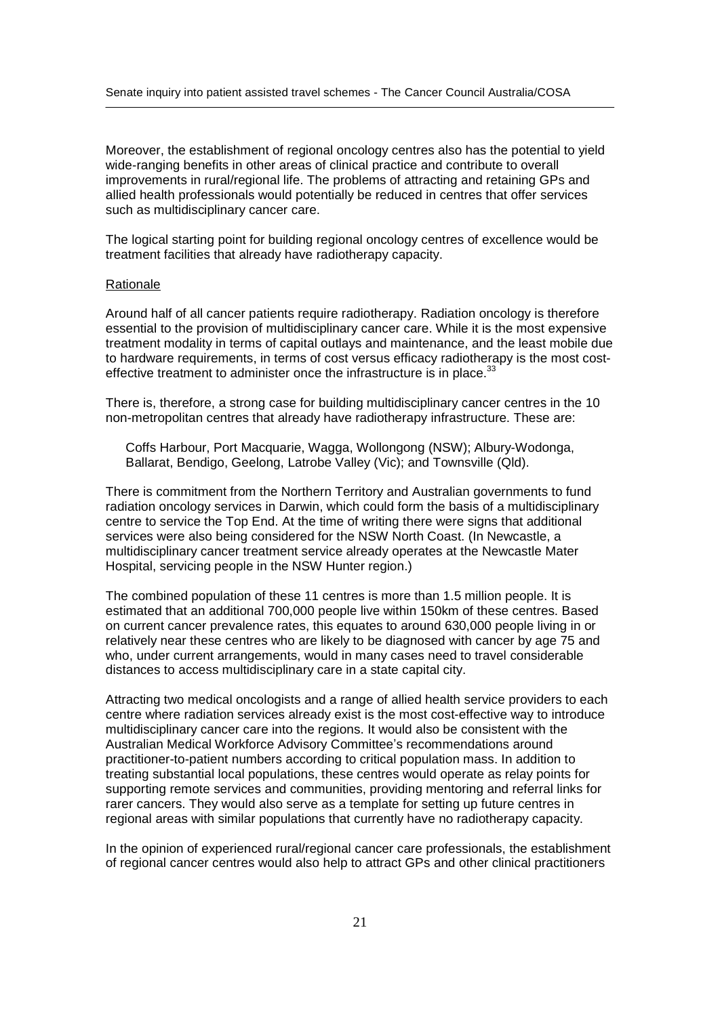Moreover, the establishment of regional oncology centres also has the potential to yield wide-ranging benefits in other areas of clinical practice and contribute to overall improvements in rural/regional life. The problems of attracting and retaining GPs and allied health professionals would potentially be reduced in centres that offer services such as multidisciplinary cancer care.

The logical starting point for building regional oncology centres of excellence would be treatment facilities that already have radiotherapy capacity.

#### Rationale

Around half of all cancer patients require radiotherapy. Radiation oncology is therefore essential to the provision of multidisciplinary cancer care. While it is the most expensive treatment modality in terms of capital outlays and maintenance, and the least mobile due to hardware requirements, in terms of cost versus efficacy radiotherapy is the most cost effective treatment to administer once the infrastructure is in place. $33$ 

There is, therefore, a strong case for building multidisciplinary cancer centres in the 10 non-metropolitan centres that already have radiotherapy infrastructure. These are:

Coffs Harbour, Port Macquarie, Wagga, Wollongong (NSW); Albury-Wodonga, Ballarat, Bendigo, Geelong, Latrobe Valley (Vic); and Townsville (Qld).

There is commitment from the Northern Territory and Australian governments to fund radiation oncology services in Darwin, which could form the basis of a multidisciplinary centre to service the Top End. At the time of writing there were signs that additional services were also being considered for the NSW North Coast. (In Newcastle, a multidisciplinary cancer treatment service already operates at the Newcastle Mater Hospital, servicing people in the NSW Hunter region.)

The combined population of these 11 centres is more than 1.5 million people. It is estimated that an additional 700,000 people live within 150km of these centres. Based on current cancer prevalence rates, this equates to around 630,000 people living in or relatively near these centres who are likely to be diagnosed with cancer by age 75 and who, under current arrangements, would in many cases need to travel considerable distances to access multidisciplinary care in a state capital city.

Attracting two medical oncologists and a range of allied health service providers to each centre where radiation services already exist is the most cost-effective way to introduce multidisciplinary cancer care into the regions. It would also be consistent with the Centre where radiation services already exist is the most cost-effective way to introduce<br>multidisciplinary cancer care into the regions. It would also be consistent with the<br>Australian Medical Workforce Advisory Committee practitioner-to-patient numbers according to critical population mass. In addition to treating substantial local populations, these centres would operate as relay points for supporting remote services and communities, providing mentoring and referral links for rarer cancers. They would also serve as a template for setting up future centres in regional areas with similar populations that currently have no radiotherapy capacity.

In the opinion of experienced rural/regional cancer care professionals, the establishment of regional cancer centres would also help to attract GPs and other clinical practitioners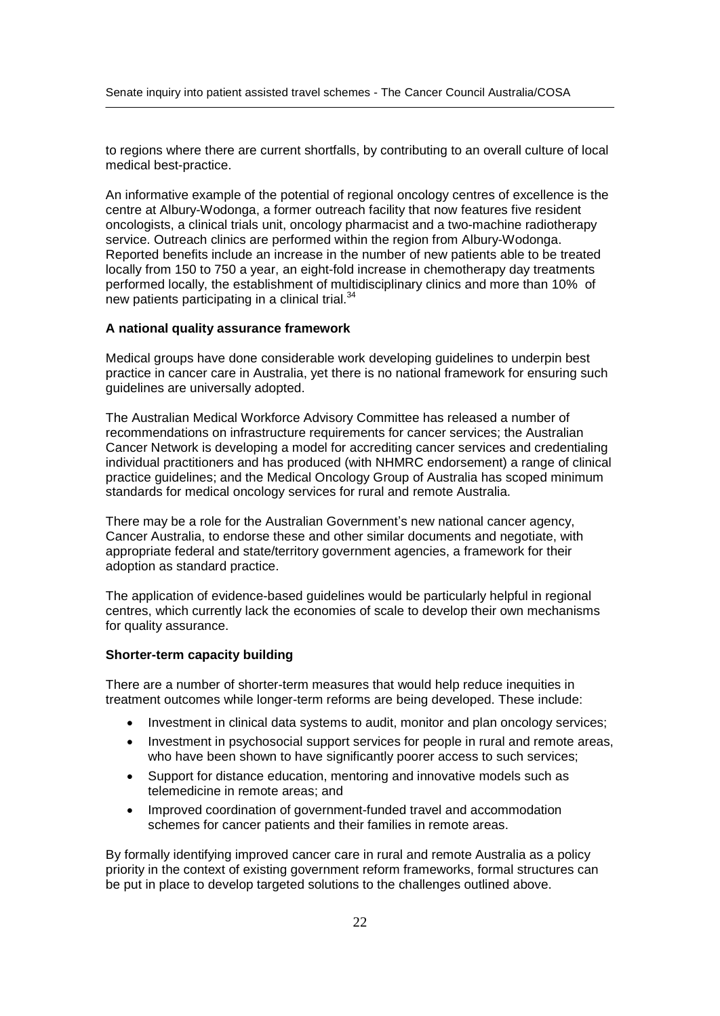to regions where there are current shortfalls, by contributing to an overall culture of local medical best-practice.

An informative example of the potential of regional oncology centres of excellence is the centre at Albury-Wodonga, a former outreach facility that now features five resident oncologists, a clinical trials unit, oncology pharmacist and a two-machine radiotherapy service. Outreach clinics are performed within the region from Albury-Wodonga. Reported benefits include an increase in the number of new patients able to be treated locally from 150 to 750 a year, an eight-fold increase in chemotherapy day treatments performed locally, the establishment of multidisciplinary clinics and more than 10% of new patients participating in a clinical trial.<sup>34</sup>

### **A national quality assurance framework**

Medical groups have done considerable work developing guidelines to underpin best practice in cancer care in Australia, yet there is no national framework for ensuring such guidelines are universally adopted.

The Australian Medical Workforce Advisory Committee has released a number of recommendations on infrastructure requirements for cancer services; the Australian Cancer Network is developing a model for accrediting cancer services and credentialing individual practitioners and has produced (with NHMRC endorsement) a range of clinical practice guidelines; and the Medical Oncology Group of Australia has scoped minimum standards for medical oncology services for rural and remote Australia. There may be <sup>a</sup> role for the Australian Governmentí<sup>s</sup> new national cancer agency,

Cancer Australia, to endorse these and other similar documents and negotiate, with appropriate federal and state/territory government agencies, a framework for their adoption as standard practice.

The application of evidence-based guidelines would be particularly helpful in regional centres, which currently lack the economies of scale to develop their own mechanisms for quality assurance.

### **Shorter-term capacity building**

There are a number of shorter-term measures that would help reduce inequities in treatment outcomes while longer-term reforms are being developed. These include:

- Investment in clinical data systems to audit, monitor and plan oncology services;
- Investment in psychosocial support services for people in rural and remote areas, who have been shown to have significantly poorer access to such services;
- Support for distance education, mentoring and innovative models such as telemedicine in remote areas; and
- Improved coordination of government-funded travel and accommodation  $\bullet$ schemes for cancer patients and their families in remote areas.

By formally identifying improved cancer care in rural and remote Australia as a policy priority in the context of existing government reform frameworks, formal structures can be put in place to develop targeted solutions to the challenges outlined above.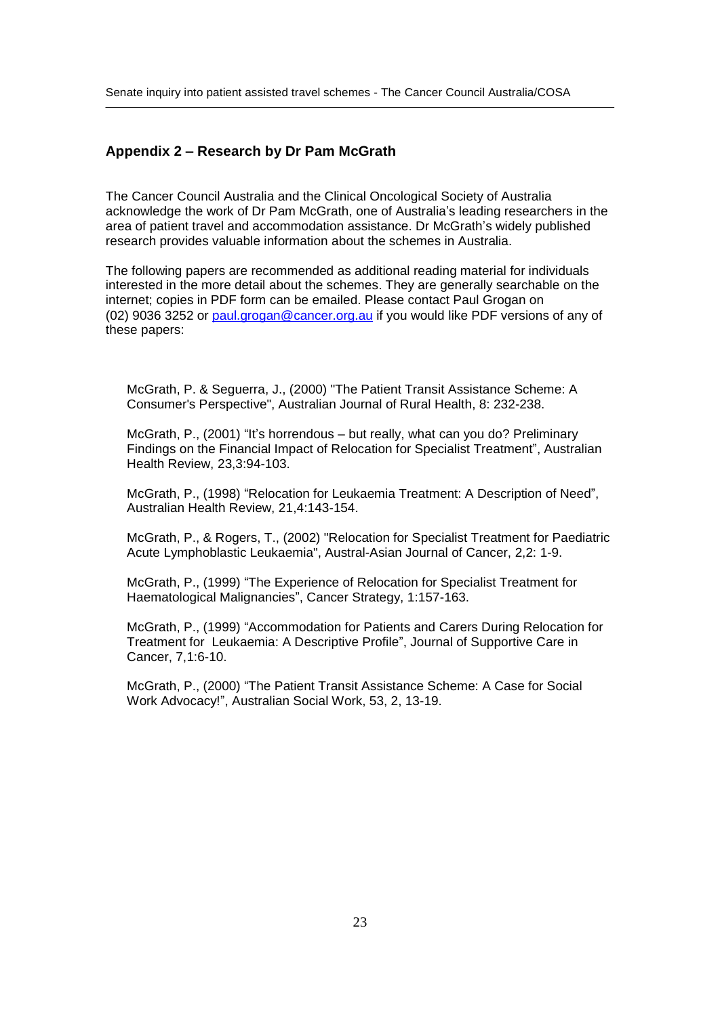# **Appendix <sup>2</sup> <sup>ñ</sup> Research by Dr Pam McGrath**

The Cancer Council Australia and the Clinical Oncological Society of Australia The Cancer Council Australia and the Clinical Oncological Society of Australia<br>acknowledge the work of Dr Pam McGrath, one of Australia's leading researchers in the The Cancer Council Australia and the Clinical Oncological Society of Australia<br>acknowledge the work of Dr Pam McGrath, one of Australia's leading researchers in the<br>area of patient travel and accommodation assistance. Dr M research provides valuable information about the schemes in Australia.

The following papers are recommended as additional reading material for individuals interested in the more detail about the schemes. They are generally searchable on the internet; copies in PDF form can be emailed. Please contact Paul Grogan on (02) 9036 3252 or [paul.grogan@cancer.org.au](mailto:paul.grogan@cancer.org.au) if you would like PDF versions of any of these papers:

McGrath, P. & Seguerra, J., (2000) "The Patient Transit Assistance Scheme: A Consumer's Perspective", Australian Journal of Rural Health, 8: 232-238.<br>McGrath, P., (2001) "It's horrendous – but really, what can you do? Preliminary

McGrath, P., (2001) "It's horrendous – but really, what can you do? Preliminary<br>Findings on the Financial Impact of Relocation for Specialist Treatment", Australian Health Review, 23,3:94-103.

McGrath, P., (1998) "Relocation for Leukaemia Treatment: A Description of Need", Australian Health Review, 21,4:143-154.

McGrath, P., & Rogers, T., (2002) "Relocation for Specialist Treatment for Paediatric Acute Lymphoblastic Leukaemia", Austral-Asian Journal of Cancer, 2,2: 1-9. McGrath, P., (1999) <sup>ì</sup>The Experience of Relocation for Specialist Treatment for

McGrath, P., (1999) "The Experience of Relocation for Specialist Treatment for Haematological Malignancies", Cancer Strategy, 1:157-163. Macmatological Malignancies", Cancer Strategy, 1:157-163.<br>McGrath, P., (1999) "Accommodation for Patients and Carers During Relocation for

Treatment for Leukaemia: A Descriptive Profile of Arthur Profile<br>McGrath, P., (1999) "Accommodation for Patients and Carers During Relocation for<br>Treatment for Leukaemia: A Descriptive Profile", Journal of Supportive Care Cancer, 7,1:6-10. McGrath, P., (2000) "The Patient Transit Assistance Scheme: A Case for Social<br>McGrath, P., (2000) "The Patient Transit Assistance Scheme: A Case for Social

Umress, 1, 1999.<br>McGrath, P., (2000) "The Patient Transit Assistance So<br>Work Advocacy!", Australian Social Work, 53, 2, 13-19.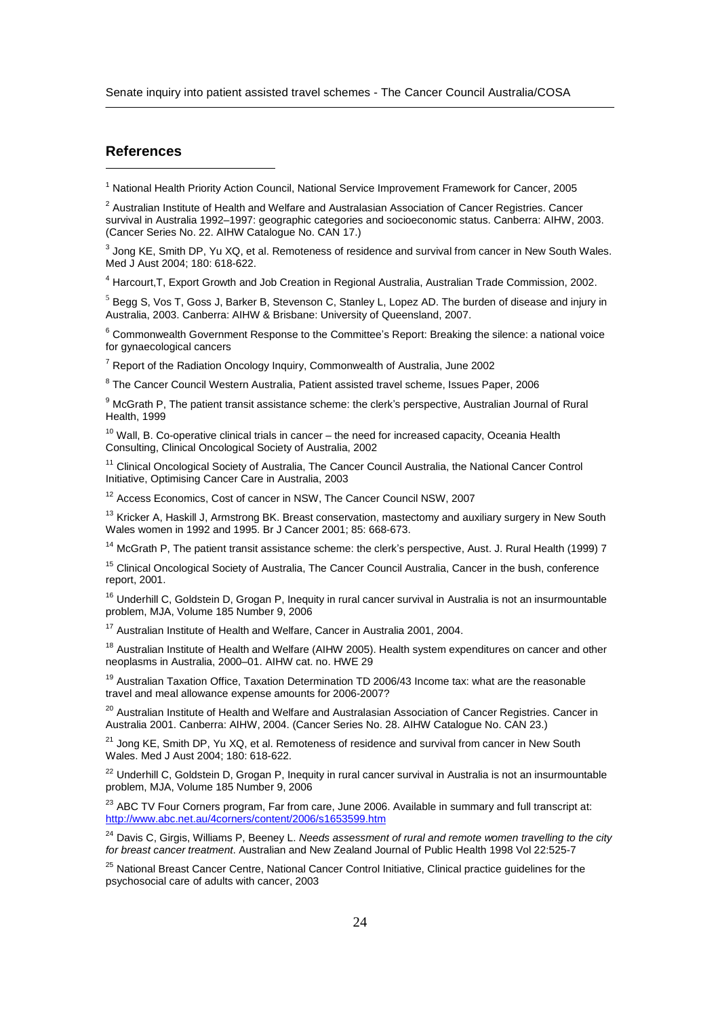# **References**

<sup>1</sup> National Health Priority Action Council, National Service Improvement Framework for Cancer, 2005

 $^{\text{2}}$  Australian Institute of Health and Welfare and Australasian Association of Cancer Registries. Cancer ` National Health Priority Action Council, National Service Improvement Framework for Cancer, 2005<br><sup>2</sup> Australian Institute of Health and Welfare and Australasian Association of Cancer Registries. Cancer<br>survival in Austra (Cancer Series No. 22. AIHW Catalogue No. CAN 17.)

 $^3$  Jong KE, Smith DP, Yu XQ, et al. Remoteness of residence and survival from cancer in New South Wales. Med J Aust 2004; 180: 618-622.

<sup>4</sup> Harcourt,T, Export Growth and Job Creation in Regional Australia, Australian Trade Commission, 2002.

<sup>5</sup> Begg S, Vos T, Goss J, Barker B, Stevenson C, Stanley L, Lopez AD. The burden of disease and injury in Australia, 2003. Canberra: AIHW & Brisbane: University of Queensland, 2007.

 $6$  Commonwealth Government Response to the Committee's Report: Breaking the silence: a national voice for gynaecological cancers

 $7$  Report of the Radiation Oncology Inquiry, Commonwealth of Australia, June 2002

<sup>8</sup> The Cancer Council Western Australia, Patient assisted travel scheme, Issues Paper, 2006

<sup>9</sup> McGrath P, The patient transit assistance scheme: the clerk's perspective, Australian Journal of Rural Health, 1999

 $10$  Wall, B. Co-operative clinical trials in cancer  $-$  the need for increased capacity, Oceania Health Consulting, Clinical Oncological Society of Australia, 2002

<sup>11</sup> Clinical Oncological Society of Australia, The Cancer Council Australia, the National Cancer Control Initiative, Optimising Cancer Care in Australia, 2003

<sup>12</sup> Access Economics, Cost of cancer in NSW, The Cancer Council NSW, 2007

<sup>13</sup> Kricker A, Haskill J, Armstrong BK. Breast conservation, mastectomy and auxiliary surgery in New South Wales women in 1992 and 1995. Br J Cancer 2001; 85: 668-673.

<sup>14</sup> McGrath P, The patient transit assistance scheme: the clerk's perspective, Aust. J. Rural Health (1999) 7

<sup>15</sup> Clinical Oncological Society of Australia, The Cancer Council Australia, Cancer in the bush, conference report, 2001.

<sup>16</sup> Underhill C, Goldstein D, Grogan P, Inequity in rural cancer survival in Australia is not an insurmountable problem, MJA, Volume 185 Number 9, 2006

<sup>17</sup> Australian Institute of Health and Welfare, Cancer in Australia 2001, 2004.

<sup>18</sup> Australian Institute of Health and Welfare (AIHW 2005). Health system expenditures on cancer and other m Australian institute of Health and Welfare, Cancer in Australia 20<br><sup>18</sup> Australian Institute of Health and Welfare (AIHW 2005). Health s<br>neoplasms in Australia, 2000–01. AIHW cat. no. HWE 29

<sup>19</sup> Australian Taxation Office, Taxation Determination TD 2006/43 Income tax: what are the reasonable travel and meal allowance expense amounts for 2006-2007?

<sup>20</sup> Australian Institute of Health and Welfare and Australasian Association of Cancer Registries. Cancer in Australia 2001. Canberra: AIHW, 2004. (Cancer Series No. 28. AIHW Catalogue No. CAN 23.)

<sup>21</sup> Jong KE, Smith DP, Yu XQ, et al. Remoteness of residence and survival from cancer in New South Wales. Med J Aust 2004; 180: 618-622.

<sup>22</sup> Underhill C, Goldstein D, Grogan P, Inequity in rural cancer survival in Australia is not an insurmountable problem, MJA, Volume 185 Number 9, 2006

<sup>23</sup> ABC TV Four Corners program, Far from care, June 2006. Available in summary and full transcript at: <http://www.abc.net.au/4corners/content/2006/s1653599.htm>

<sup>24</sup> Davis C, Girgis, Williams P, Beeney L. Needs assessment of rural and remote women travelling to the city for breast cancer treatment. Australian and New Zealand Journal of Public Health 1998 Vol 22:525-7

<sup>25</sup> National Breast Cancer Centre, National Cancer Control Initiative, Clinical practice guidelines for the psychosocial care of adults with cancer, 2003